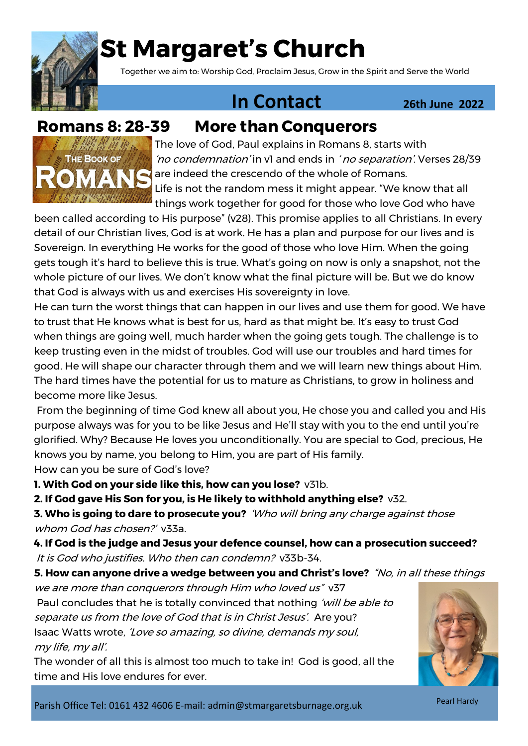

# **St Margaret's Church**

Together we aim to: Worship God, Proclaim Jesus, Grow in the Spirit and Serve the World

## **1n Contact 26th June 2022**



The love of God, Paul explains in Romans 8, starts with 'no condemnation' in v1 and ends in ' no separation'. Verses 28/39 are indeed the crescendo of the whole of Romans. Life is not the random mess it might appear. "We know that all things work together for good for those who love God who have

been called according to His purpose" (v28). This promise applies to all Christians. In every detail of our Christian lives, God is at work. He has a plan and purpose for our lives and is Sovereign. In everything He works for the good of those who love Him. When the going gets tough it's hard to believe this is true. What's going on now is only a snapshot, not the whole picture of our lives. We don't know what the final picture will be. But we do know that God is always with us and exercises His sovereignty in love.

He can turn the worst things that can happen in our lives and use them for good. We have to trust that He knows what is best for us, hard as that might be. It's easy to trust God when things are going well, much harder when the going gets tough. The challenge is to keep trusting even in the midst of troubles. God will use our troubles and hard times for good. He will shape our character through them and we will learn new things about Him. The hard times have the potential for us to mature as Christians, to grow in holiness and become more like Jesus.

From the beginning of time God knew all about you, He chose you and called you and His purpose always was for you to be like Jesus and He'll stay with you to the end until you're glorified. Why? Because He loves you unconditionally. You are special to God, precious, He knows you by name, you belong to Him, you are part of His family. How can you be sure of God's love?

**1. With God on your side like this, how can you lose?** v31b.

**2. If God gave His Son for you, is He likely to withhold anything else?** v32.

**3. Who is going to dare to prosecute you?** 'Who will bring any charge against those whom God has chosen?' v33a.

**4. If God is the judge and Jesus your defence counsel, how can a prosecution succeed?**  It is God who justifies. Who then can condemn? v33b-34.

**5. How can anyone drive a wedge between you and Christ's love?** "No, in all these things

we are more than conquerors through Him who loved us" v37 Paul concludes that he is totally convinced that nothing 'will be able to separate us from the love of God that is in Christ Jesus'. Are you? Isaac Watts wrote, 'Love so amazing, so divine, demands my soul, my life, my all'.

The wonder of all this is almost too much to take in! God is good, all the time and His love endures for ever.



Parish Office Tel: 0161 432 4606 E-mail: admin@stmargaretsburnage.org.uk

Pearl Hardy